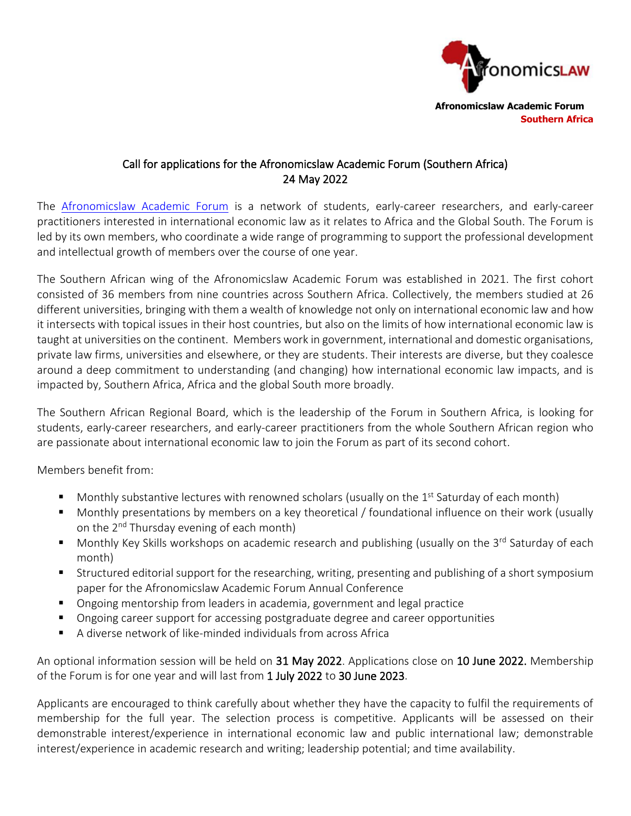

 **Afronomicslaw Academic Forum Southern Africa**

# Call for applications for the Afronomicslaw Academic Forum (Southern Africa) 24 May 2022

The [Afronomicslaw Academic Forum](https://www.afronomicslaw.org/index.php/category/academic-forum) is a network of students, early-career researchers, and early-career practitioners interested in international economic law as it relates to Africa and the Global South. The Forum is led by its own members, who coordinate a wide range of programming to support the professional development and intellectual growth of members over the course of one year.

The Southern African wing of the Afronomicslaw Academic Forum was established in 2021. The first cohort consisted of 36 members from nine countries across Southern Africa. Collectively, the members studied at 26 different universities, bringing with them a wealth of knowledge not only on international economic law and how it intersects with topical issues in their host countries, but also on the limits of how international economic law is taught at universities on the continent. Members work in government, international and domestic organisations, private law firms, universities and elsewhere, or they are students. Their interests are diverse, but they coalesce around a deep commitment to understanding (and changing) how international economic law impacts, and is impacted by, Southern Africa, Africa and the global South more broadly.

The Southern African Regional Board, which is the leadership of the Forum in Southern Africa, is looking for students, early-career researchers, and early-career practitioners from the whole Southern African region who are passionate about international economic law to join the Forum as part of its second cohort.

Members benefit from:

- **■** Monthly substantive lectures with renowned scholars (usually on the 1<sup>st</sup> Saturday of each month)
- Monthly presentations by members on a key theoretical / foundational influence on their work (usually on the 2<sup>nd</sup> Thursday evening of each month)
- Monthly Key Skills workshops on academic research and publishing (usually on the 3<sup>rd</sup> Saturday of each month)
- Structured editorial support for the researching, writing, presenting and publishing of a short symposium paper for the Afronomicslaw Academic Forum Annual Conference
- Ongoing mentorship from leaders in academia, government and legal practice
- Ongoing career support for accessing postgraduate degree and career opportunities
- A diverse network of like-minded individuals from across Africa

An optional information session will be held on 31 May 2022. Applications close on 10 June 2022. Membership of the Forum is for one year and will last from 1 July 2022 to 30 June 2023.

Applicants are encouraged to think carefully about whether they have the capacity to fulfil the requirements of membership for the full year. The selection process is competitive. Applicants will be assessed on their demonstrable interest/experience in international economic law and public international law; demonstrable interest/experience in academic research and writing; leadership potential; and time availability.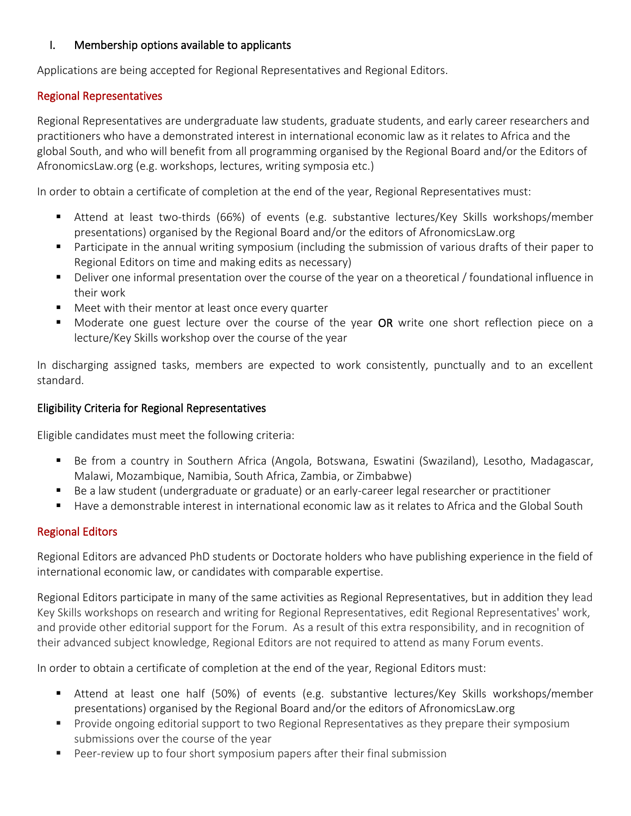## I. Membership options available to applicants

Applications are being accepted for Regional Representatives and Regional Editors.

## Regional Representatives

Regional Representatives are undergraduate law students, graduate students, and early career researchers and practitioners who have a demonstrated interest in international economic law as it relates to Africa and the global South, and who will benefit from all programming organised by the Regional Board and/or the Editors of AfronomicsLaw.org (e.g. workshops, lectures, writing symposia etc.)

In order to obtain a certificate of completion at the end of the year, Regional Representatives must:

- Attend at least two-thirds (66%) of events (e.g. substantive lectures/Key Skills workshops/member presentations) organised by the Regional Board and/or the editors of AfronomicsLaw.org
- Participate in the annual writing symposium (including the submission of various drafts of their paper to Regional Editors on time and making edits as necessary)
- Deliver one informal presentation over the course of the year on a theoretical / foundational influence in their work
- Meet with their mentor at least once every quarter
- Moderate one guest lecture over the course of the year OR write one short reflection piece on a lecture/Key Skills workshop over the course of the year

In discharging assigned tasks, members are expected to work consistently, punctually and to an excellent standard.

## Eligibility Criteria for Regional Representatives

Eligible candidates must meet the following criteria:

- Be from a country in Southern Africa (Angola, Botswana, Eswatini (Swaziland), Lesotho, Madagascar, Malawi, Mozambique, Namibia, South Africa, Zambia, or Zimbabwe)
- Be a law student (undergraduate or graduate) or an early-career legal researcher or practitioner
- Have a demonstrable interest in international economic law as it relates to Africa and the Global South

### Regional Editors

Regional Editors are advanced PhD students or Doctorate holders who have publishing experience in the field of international economic law, or candidates with comparable expertise.

Regional Editors participate in many of the same activities as Regional Representatives, but in addition they lead Key Skills workshops on research and writing for Regional Representatives, edit Regional Representatives' work, and provide other editorial support for the Forum. As a result of this extra responsibility, and in recognition of their advanced subject knowledge, Regional Editors are not required to attend as many Forum events.

In order to obtain a certificate of completion at the end of the year, Regional Editors must:

- Attend at least one half (50%) of events (e.g. substantive lectures/Key Skills workshops/member presentations) organised by the Regional Board and/or the editors of AfronomicsLaw.org
- Provide ongoing editorial support to two Regional Representatives as they prepare their symposium submissions over the course of the year
- Peer-review up to four short symposium papers after their final submission